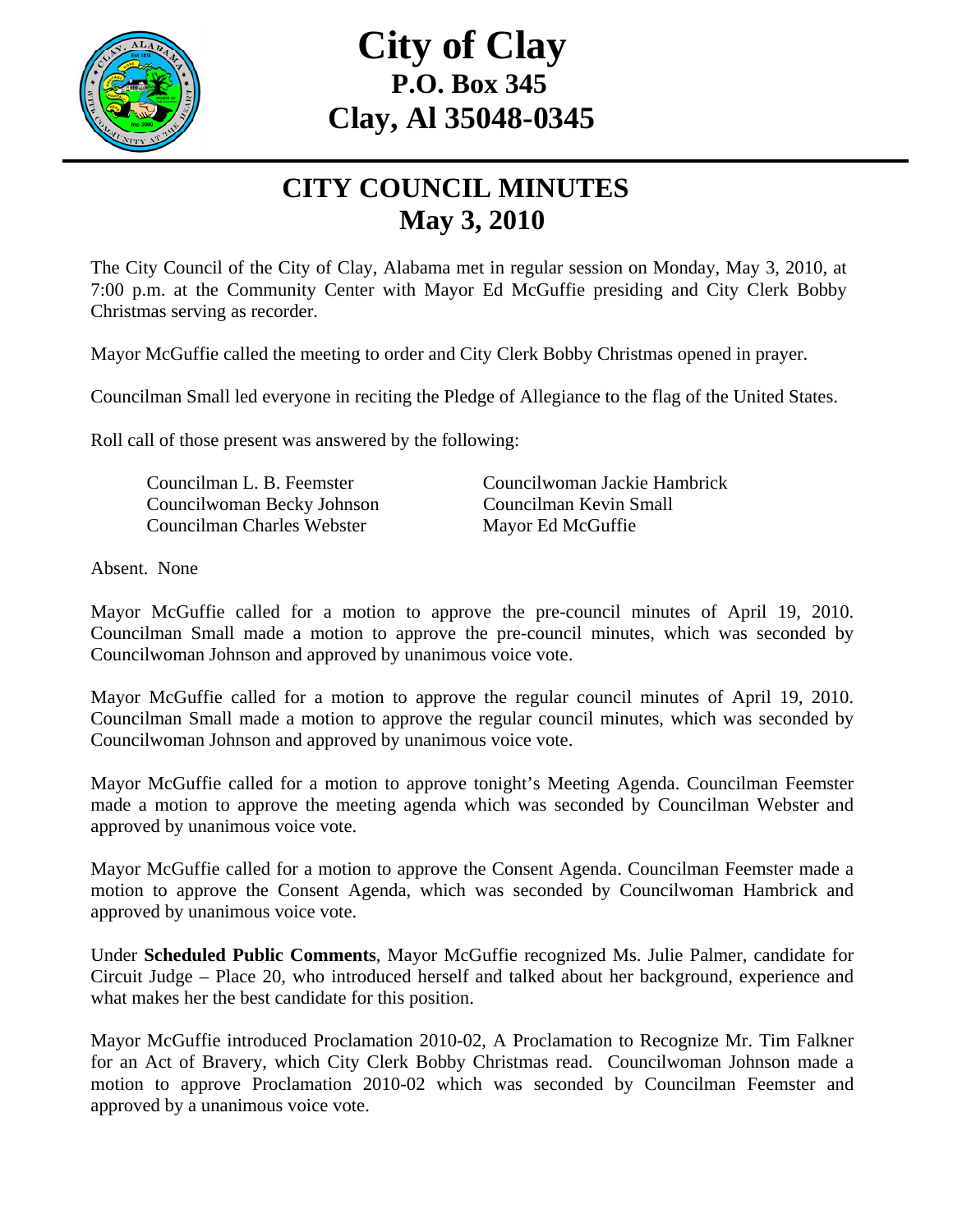

## **City of Clay P.O. Box 345 Clay, Al 35048-0345**

## **CITY COUNCIL MINUTES May 3, 2010**

The City Council of the City of Clay, Alabama met in regular session on Monday, May 3, 2010, at 7:00 p.m. at the Community Center with Mayor Ed McGuffie presiding and City Clerk Bobby Christmas serving as recorder.

Mayor McGuffie called the meeting to order and City Clerk Bobby Christmas opened in prayer.

Councilman Small led everyone in reciting the Pledge of Allegiance to the flag of the United States.

Roll call of those present was answered by the following:

 Councilwoman Becky Johnson Councilman Kevin Small Councilman Charles Webster Mayor Ed McGuffie

Councilman L. B. Feemster Councilwoman Jackie Hambrick

Absent. None

Mayor McGuffie called for a motion to approve the pre-council minutes of April 19, 2010. Councilman Small made a motion to approve the pre-council minutes, which was seconded by Councilwoman Johnson and approved by unanimous voice vote.

Mayor McGuffie called for a motion to approve the regular council minutes of April 19, 2010. Councilman Small made a motion to approve the regular council minutes, which was seconded by Councilwoman Johnson and approved by unanimous voice vote.

Mayor McGuffie called for a motion to approve tonight's Meeting Agenda. Councilman Feemster made a motion to approve the meeting agenda which was seconded by Councilman Webster and approved by unanimous voice vote.

Mayor McGuffie called for a motion to approve the Consent Agenda. Councilman Feemster made a motion to approve the Consent Agenda, which was seconded by Councilwoman Hambrick and approved by unanimous voice vote.

Under **Scheduled Public Comments**, Mayor McGuffie recognized Ms. Julie Palmer, candidate for Circuit Judge – Place 20, who introduced herself and talked about her background, experience and what makes her the best candidate for this position.

Mayor McGuffie introduced Proclamation 2010-02, A Proclamation to Recognize Mr. Tim Falkner for an Act of Bravery, which City Clerk Bobby Christmas read. Councilwoman Johnson made a motion to approve Proclamation 2010-02 which was seconded by Councilman Feemster and approved by a unanimous voice vote.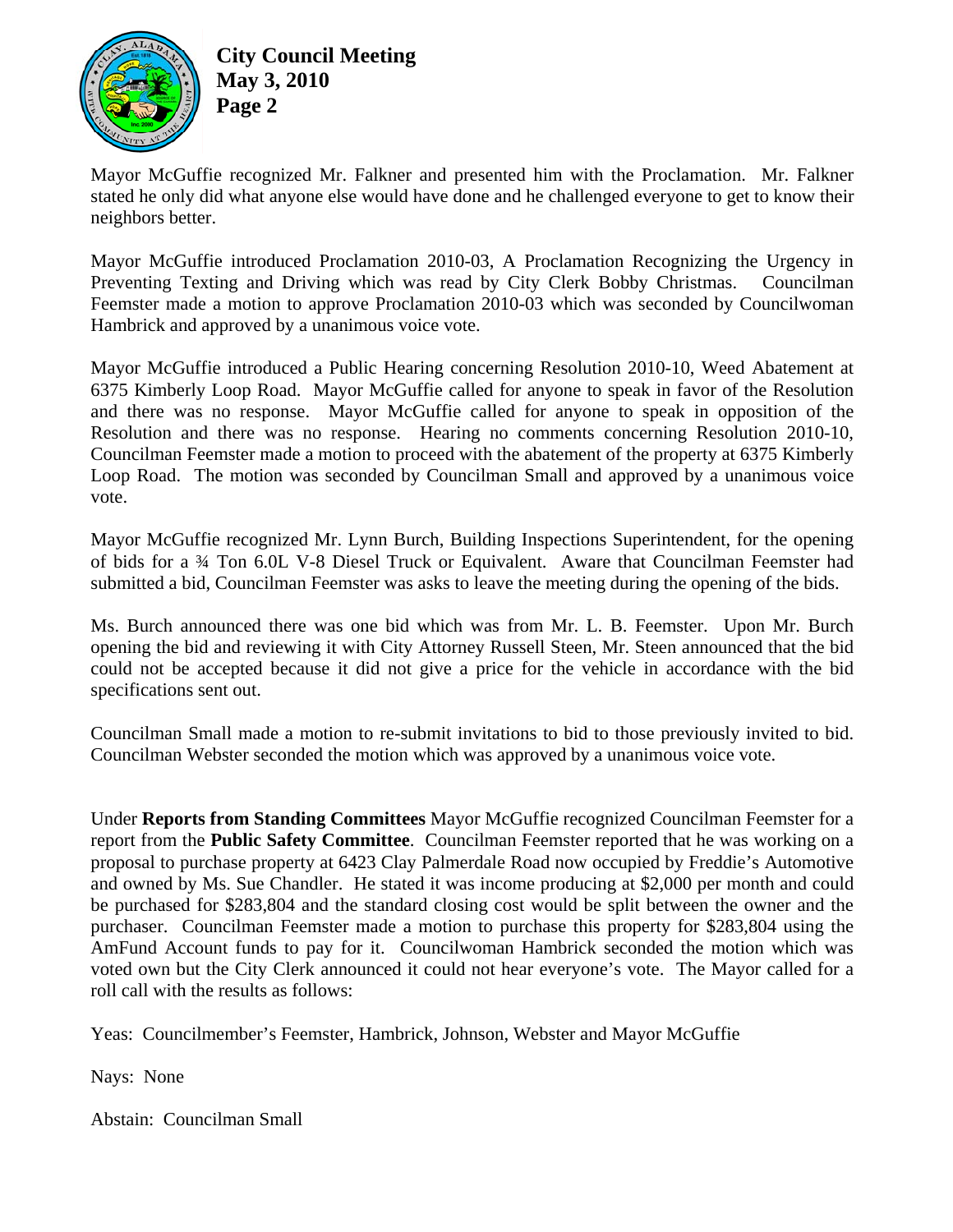

**City Council Meeting May 3, 2010 Page 2** 

Mayor McGuffie recognized Mr. Falkner and presented him with the Proclamation. Mr. Falkner stated he only did what anyone else would have done and he challenged everyone to get to know their neighbors better.

Mayor McGuffie introduced Proclamation 2010-03, A Proclamation Recognizing the Urgency in Preventing Texting and Driving which was read by City Clerk Bobby Christmas. Councilman Feemster made a motion to approve Proclamation 2010-03 which was seconded by Councilwoman Hambrick and approved by a unanimous voice vote.

Mayor McGuffie introduced a Public Hearing concerning Resolution 2010-10, Weed Abatement at 6375 Kimberly Loop Road. Mayor McGuffie called for anyone to speak in favor of the Resolution and there was no response. Mayor McGuffie called for anyone to speak in opposition of the Resolution and there was no response. Hearing no comments concerning Resolution 2010-10, Councilman Feemster made a motion to proceed with the abatement of the property at 6375 Kimberly Loop Road. The motion was seconded by Councilman Small and approved by a unanimous voice vote.

Mayor McGuffie recognized Mr. Lynn Burch, Building Inspections Superintendent, for the opening of bids for a ¾ Ton 6.0L V-8 Diesel Truck or Equivalent. Aware that Councilman Feemster had submitted a bid, Councilman Feemster was asks to leave the meeting during the opening of the bids.

Ms. Burch announced there was one bid which was from Mr. L. B. Feemster. Upon Mr. Burch opening the bid and reviewing it with City Attorney Russell Steen, Mr. Steen announced that the bid could not be accepted because it did not give a price for the vehicle in accordance with the bid specifications sent out.

Councilman Small made a motion to re-submit invitations to bid to those previously invited to bid. Councilman Webster seconded the motion which was approved by a unanimous voice vote.

Under **Reports from Standing Committees** Mayor McGuffie recognized Councilman Feemster for a report from the **Public Safety Committee**. Councilman Feemster reported that he was working on a proposal to purchase property at 6423 Clay Palmerdale Road now occupied by Freddie's Automotive and owned by Ms. Sue Chandler. He stated it was income producing at \$2,000 per month and could be purchased for \$283,804 and the standard closing cost would be split between the owner and the purchaser. Councilman Feemster made a motion to purchase this property for \$283,804 using the AmFund Account funds to pay for it. Councilwoman Hambrick seconded the motion which was voted own but the City Clerk announced it could not hear everyone's vote. The Mayor called for a roll call with the results as follows:

Yeas: Councilmember's Feemster, Hambrick, Johnson, Webster and Mayor McGuffie

Nays: None

Abstain: Councilman Small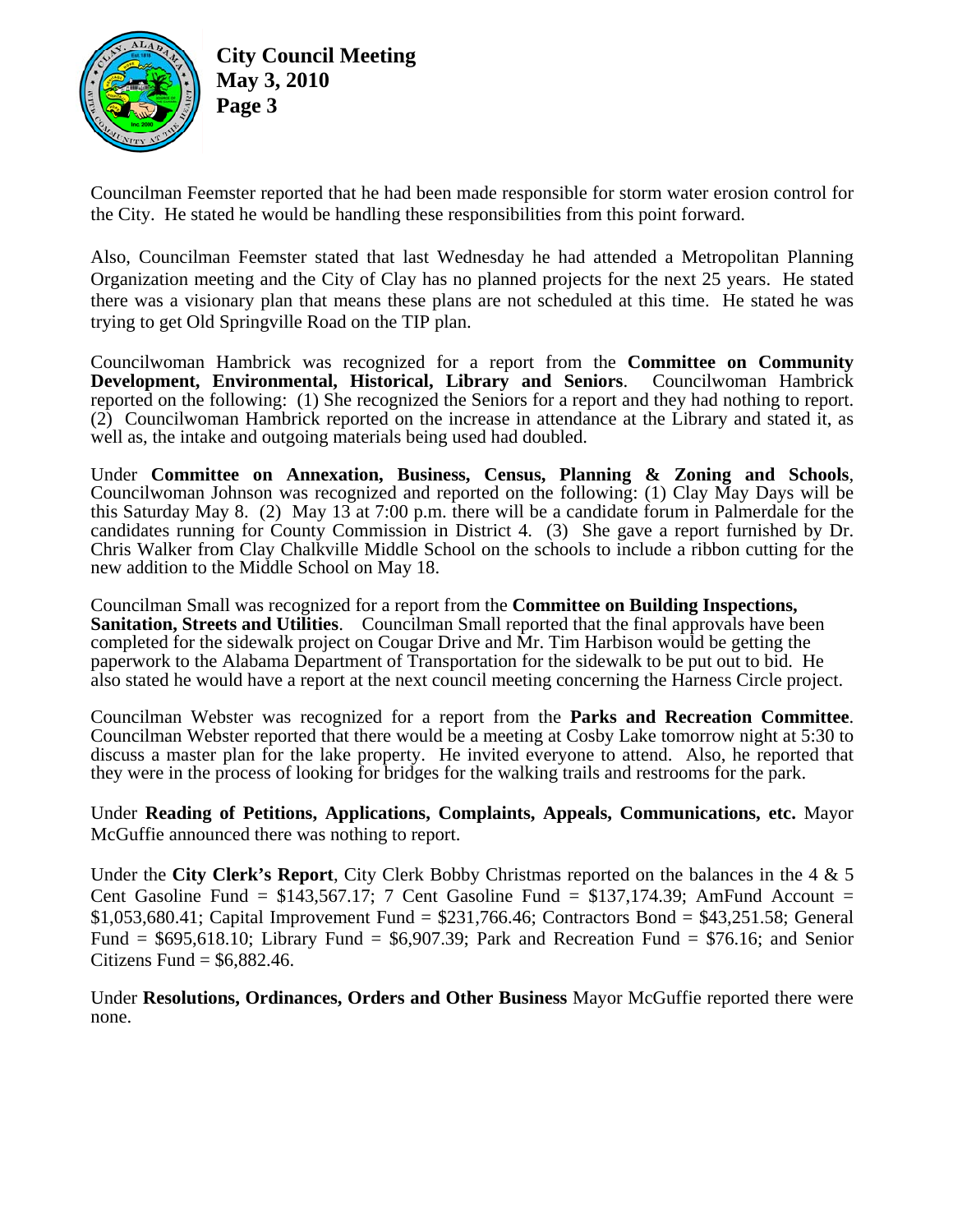

**City Council Meeting May 3, 2010 Page 3** 

Councilman Feemster reported that he had been made responsible for storm water erosion control for the City. He stated he would be handling these responsibilities from this point forward.

Also, Councilman Feemster stated that last Wednesday he had attended a Metropolitan Planning Organization meeting and the City of Clay has no planned projects for the next 25 years. He stated there was a visionary plan that means these plans are not scheduled at this time. He stated he was trying to get Old Springville Road on the TIP plan.

Councilwoman Hambrick was recognized for a report from the **Committee on Community Development, Environmental, Historical, Library and Seniors**. Councilwoman Hambrick reported on the following: (1) She recognized the Seniors for a report and they had nothing to report. (2) Councilwoman Hambrick reported on the increase in attendance at the Library and stated it, as well as, the intake and outgoing materials being used had doubled.

Under **Committee on Annexation, Business, Census, Planning & Zoning and Schools**, Councilwoman Johnson was recognized and reported on the following: (1) Clay May Days will be this Saturday May 8. (2) May 13 at 7:00 p.m. there will be a candidate forum in Palmerdale for the candidates running for County Commission in District 4. (3) She gave a report furnished by Dr. Chris Walker from Clay Chalkville Middle School on the schools to include a ribbon cutting for the new addition to the Middle School on May 18.

Councilman Small was recognized for a report from the **Committee on Building Inspections, Sanitation, Streets and Utilities**. Councilman Small reported that the final approvals have been completed for the sidewalk project on Cougar Drive and Mr. Tim Harbison would be getting the paperwork to the Alabama Department of Transportation for the sidewalk to be put out to bid. He also stated he would have a report at the next council meeting concerning the Harness Circle project.

Councilman Webster was recognized for a report from the **Parks and Recreation Committee**. Councilman Webster reported that there would be a meeting at Cosby Lake tomorrow night at 5:30 to discuss a master plan for the lake property. He invited everyone to attend. Also, he reported that they were in the process of looking for bridges for the walking trails and restrooms for the park.

Under **Reading of Petitions, Applications, Complaints, Appeals, Communications, etc.** Mayor McGuffie announced there was nothing to report.

Under the **City Clerk's Report**, City Clerk Bobby Christmas reported on the balances in the 4 & 5 Cent Gasoline Fund =  $$143,567.17$ ; 7 Cent Gasoline Fund =  $$137,174.39$ ; AmFund Account = \$1,053,680.41; Capital Improvement Fund = \$231,766.46; Contractors Bond = \$43,251.58; General Fund =  $$695,618.10$ ; Library Fund =  $$6907.39$ ; Park and Recreation Fund =  $$76.16$ ; and Senior Citizens Fund =  $$6,882.46$ .

Under **Resolutions, Ordinances, Orders and Other Business** Mayor McGuffie reported there were none.